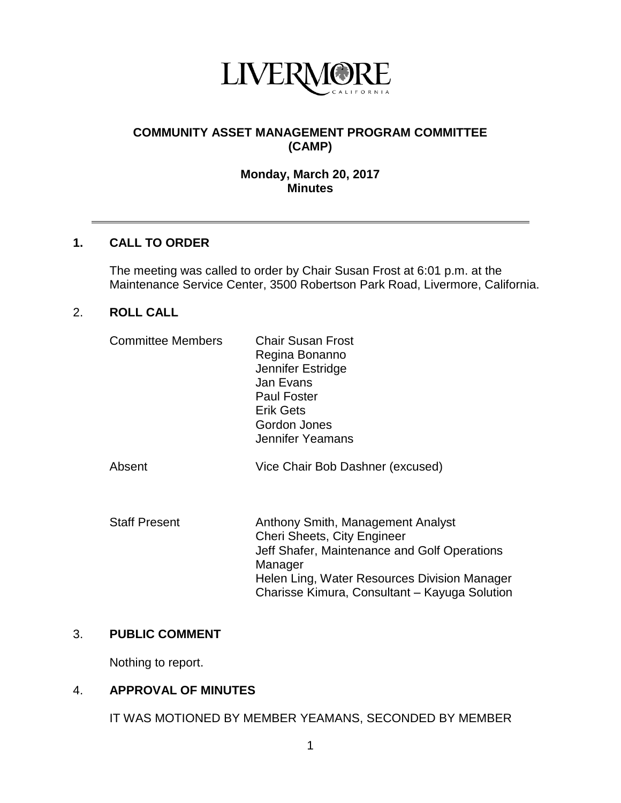

# **COMMUNITY ASSET MANAGEMENT PROGRAM COMMITTEE (CAMP)**

## **Monday, March 20, 2017 Minutes**

## **1. CALL TO ORDER**

The meeting was called to order by Chair Susan Frost at 6:01 p.m. at the Maintenance Service Center, 3500 Robertson Park Road, Livermore, California.

#### 2. **ROLL CALL**

| <b>Committee Members</b> | <b>Chair Susan Frost</b><br>Regina Bonanno<br>Jennifer Estridge<br>Jan Evans<br><b>Paul Foster</b><br><b>Erik Gets</b><br>Gordon Jones<br>Jennifer Yeamans |
|--------------------------|------------------------------------------------------------------------------------------------------------------------------------------------------------|
| Absent                   | Vice Chair Bob Dashner (excused)                                                                                                                           |

Staff Present **Anthony Smith, Management Analyst** Cheri Sheets, City Engineer Jeff Shafer, Maintenance and Golf Operations **Manager** Helen Ling, Water Resources Division Manager Charisse Kimura, Consultant – Kayuga Solution

## 3. **PUBLIC COMMENT**

Nothing to report.

# 4. **APPROVAL OF MINUTES**

IT WAS MOTIONED BY MEMBER YEAMANS, SECONDED BY MEMBER